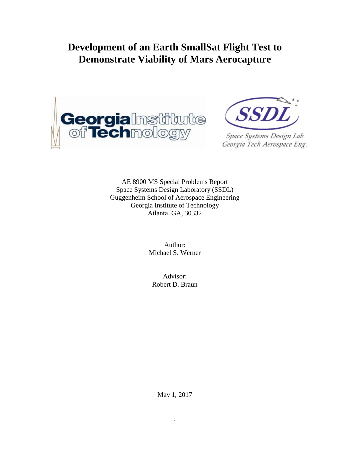# **Development of an Earth SmallSat Flight Test to Demonstrate Viability of Mars Aerocapture**





Space Systems Design Lab Georgia Tech Aerospace Eng.

AE 8900 MS Special Problems Report Space Systems Design Laboratory (SSDL) Guggenheim School of Aerospace Engineering Georgia Institute of Technology Atlanta, GA, 30332

> Author: Michael S. Werner

Advisor: Robert D. Braun

May 1, 2017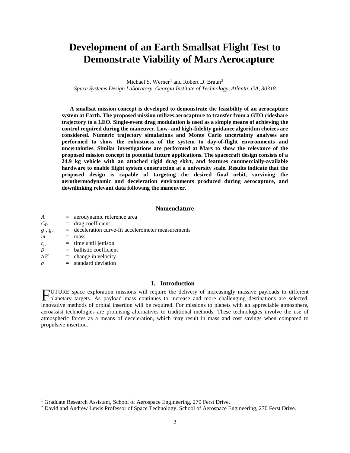## **Development of an Earth Smallsat Flight Test to Demonstrate Viability of Mars Aerocapture**

Michael S. Werner<sup>[1](#page-1-0)</sup> and Robert D. Braun<sup>[2](#page-1-1)</sup>

*Space Systems Design Laboratory, Georgia Institute of Technology, Atlanta, GA, 30318*

**A smallsat mission concept is developed to demonstrate the feasibility of an aerocapture system at Earth. The proposed mission utilizes aerocapture to transfer from a GTO rideshare trajectory to a LEO. Single-event drag modulation is used as a simple means of achieving the control required during the maneuver. Low- and high-fidelity guidance algorithm choices are considered. Numeric trajectory simulations and Monte Carlo uncertainty analyses are performed to show the robustness of the system to day-of-flight environments and uncertainties. Similar investigations are performed at Mars to show the relevance of the proposed mission concept to potential future applications. The spacecraft design consists of a 24.9 kg vehicle with an attached rigid drag skirt, and features commercially-available hardware to enable flight system construction at a university scale. Results indicate that the proposed design is capable of targeting the desired final orbit, surviving the aerothermodynamic and deceleration environments produced during aerocapture, and downlinking relevant data following the maneuver.**

#### **Nomenclature**

| A          |     | $=$ aerodynamic reference area                        |
|------------|-----|-------------------------------------------------------|
| $C_D$      |     | $=$ drag coefficient                                  |
| $g_1, g_2$ |     | $=$ deceleration curve-fit accelerometer measurements |
| m          | $=$ | mass                                                  |
| $t_{go}$   |     | $=$ time until jettison                               |
| $\beta$    |     | $=$ ballistic coefficient                             |
| AV         |     | $=$ change in velocity                                |
| $\sigma$   |     | $=$ standard deviation                                |

## **I. Introduction**

UTURE space exploration missions will require the delivery of increasingly massive payloads to different FUTURE space exploration missions will require the delivery of increasingly massive payloads to different planetary targets. As payload mass continues to increase and more challenging destinations are selected, innovative methods of orbital insertion will be required. For missions to planets with an appreciable atmosphere, aeroassist technologies are promising alternatives to traditional methods. These technologies involve the use of atmospheric forces as a means of deceleration, which may result in mass and cost savings when compared to propulsive insertion.

<span id="page-1-0"></span><sup>&</sup>lt;sup>1</sup> Graduate Research Assistant, School of Aerospace Engineering, 270 Ferst Drive.

<span id="page-1-1"></span><sup>2</sup> David and Andrew Lewis Professor of Space Technology, School of Aerospace Engineering, 270 Ferst Drive.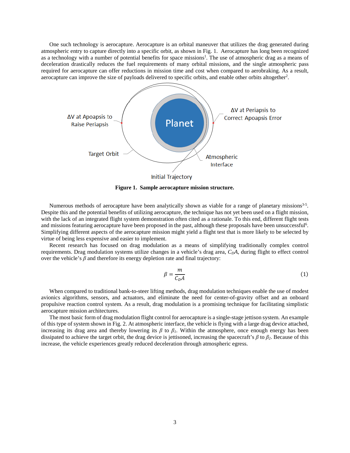One such technology is aerocapture. Aerocapture is an orbital maneuver that utilizes the drag generated during atmospheric entry to capture directly into a specific orbit, as shown in Fig. 1. Aerocapture has long been recognized as a technology with a number of potential benefits for space missions<sup>1</sup>. The use of atmospheric drag as a means of deceleration drastically reduces the fuel requirements of many orbital missions, and the single atmospheric pass required for aerocapture can offer reductions in mission time and cost when compared to aerobraking. As a result, aerocapture can improve the size of payloads delivered to specific orbits, and enable other orbits altogether<sup>2</sup>.



**Figure 1. Sample aerocapture mission structure.**

Numerous methods of aerocapture have been analytically shown as viable for a range of planetary missions<sup>3-5</sup>. Despite this and the potential benefits of utilizing aerocapture, the technique has not yet been used on a flight mission, with the lack of an integrated flight system demonstration often cited as a rationale. To this end, different flight tests and missions featuring aerocapture have been proposed in the past, although these proposals have been unsuccessful<sup>6</sup>. Simplifying different aspects of the aerocapture mission might yield a flight test that is more likely to be selected by virtue of being less expensive and easier to implement.

Recent research has focused on drag modulation as a means of simplifying traditionally complex control requirements. Drag modulation systems utilize changes in a vehicle's drag area, *CDA*, during flight to effect control over the vehicle's  $\beta$  and therefore its energy depletion rate and final trajectory:

$$
\beta = \frac{m}{C_D A} \tag{1}
$$

When compared to traditional bank-to-steer lifting methods, drag modulation techniques enable the use of modest avionics algorithms, sensors, and actuators, and eliminate the need for center-of-gravity offset and an onboard propulsive reaction control system. As a result, drag modulation is a promising technique for facilitating simplistic aerocapture mission architectures.

The most basic form of drag modulation flight control for aerocapture is a single-stage jettison system. An example of this type of system shown in Fig. 2. At atmospheric interface, the vehicle is flying with a large drag device attached, increasing its drag area and thereby lowering its  $\beta$  to  $\beta$ *i*. Within the atmosphere, once enough energy has been dissipated to achieve the target orbit, the drag device is jettisoned, increasing the spacecraft's *β* to *β2*. Because of this increase, the vehicle experiences greatly reduced deceleration through atmospheric egress.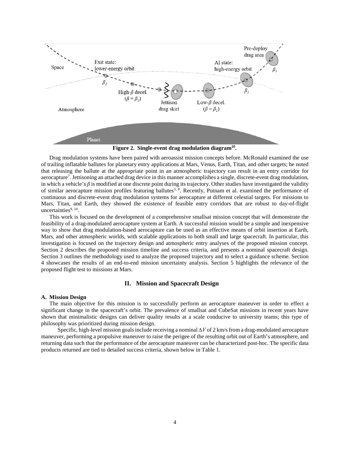

**Figure 2. Single-event drag modulation diagram10.**

Drag modulation systems have been paired with aeroassist mission concepts before. McRonald examined the use of trailing inflatable ballutes for planetary entry applications at Mars, Venus, Earth, Titan, and other targets; he noted that releasing the ballute at the appropriate point in an atmospheric trajectory can result in an entry corridor for aerocapture<sup>7</sup>. Jettisoning an attached drag device in this manner accomplishes a single, discrete-event drag modulation, in which a vehicle's *β* is modified at one discrete point during its trajectory. Other studies have investigated the validity of similar aerocapture mission profiles featuring ballutes<sup>3, 8</sup>. Recently, Putnam et al. examined the performance of continuous and discrete-event drag modulation systems for aerocapture at different celestial targets. For missions to Mars, Titan, and Earth, they showed the existence of feasible entry corridors that are robust to day-of-flight uncertainties<sup>9, 10</sup>.

This work is focused on the development of a comprehensive smallsat mission concept that will demonstrate the feasibility of a drag-modulated aerocapture system at Earth. A successful mission would be a simple and inexpensive way to show that drag modulation-based aerocapture can be used as an effective means of orbit insertion at Earth, Mars, and other atmospheric worlds, with scalable applications to both small and large spacecraft. In particular, this investigation is focused on the trajectory design and atmospheric entry analyses of the proposed mission concept. Section 2 describes the proposed mission timeline and success criteria, and presents a nominal spacecraft design. Section 3 outlines the methodology used to analyze the proposed trajectory and to select a guidance scheme. Section 4 showcases the results of an end-to-end mission uncertainty analysis. Section 5 highlights the relevance of the proposed flight test to missions at Mars.

#### **II. Mission and Spacecraft Design**

#### **A. Mission Design**

The main objective for this mission is to successfully perform an aerocapture maneuver in order to effect a significant change in the spacecraft's orbit. The prevalence of smallsat and CubeSat missions in recent years have shown that minimalistic designs can deliver quality results at a scale conducive to university teams; this type of philosophy was prioritized during mission design.

Specific, high-level mission goals include receiving a nominal *∆V* of 2 km/s from a drag-modulated aerocapture maneuver, performing a propulsive maneuver to raise the perigee of the resulting orbit out of Earth's atmosphere, and returning data such that the performance of the aerocapture maneuver can be characterized post-hoc. The specific data products returned are tied to detailed success criteria, shown below in Table 1.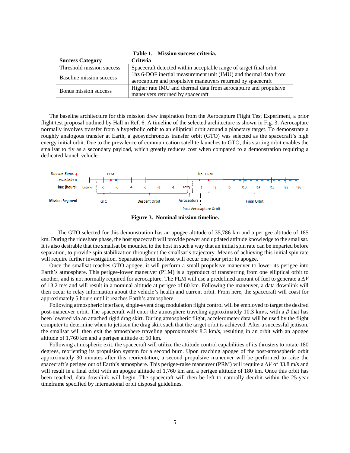| <b>Success Category</b>   | <b>Criteria</b>                                                   |
|---------------------------|-------------------------------------------------------------------|
| Threshold mission success | Spacecraft detected within acceptable range of target final orbit |
| Baseline mission success  | Thz 6-DOF inertial measurement unit (IMU) and thermal data from   |
|                           | aerocapture and propulsive maneuvers returned by spacecraft       |
| Bonus mission success     | Higher rate IMU and thermal data from aerocapture and propulsive  |
|                           | maneuvers returned by spacecraft                                  |

**Table 1. Mission success criteria.**

The baseline architecture for this mission drew inspiration from the Aerocapture Flight Test Experiment, a prior flight test proposal outlined by Hall in Ref. 6. A timeline of the selected architecture is shown in Fig. 3. Aerocapture normally involves transfer from a hyperbolic orbit to an elliptical orbit around a planetary target. To demonstrate a roughly analogous transfer at Earth, a geosynchronous transfer orbit (GTO) was selected as the spacecraft's high energy initial orbit. Due to the prevalence of communication satellite launches to GTO, this starting orbit enables the smallsat to fly as a secondary payload, which greatly reduces cost when compared to a demonstration requiring a dedicated launch vehicle.





The GTO selected for this demonstration has an apogee altitude of 35,786 km and a perigee altitude of 185 km. During the rideshare phase, the host spacecraft will provide power and updated attitude knowledge to the smallsat. It is also desirable that the smallsat be mounted to the host in such a way that an initial spin rate can be imparted before separation, to provide spin stabilization throughout the smallsat's trajectory. Means of achieving this initial spin rate will require further investigation. Separation from the host will occur one hour prior to apogee.

Once the smallsat reaches GTO apogee, it will perform a small propulsive maneuver to lower its perigee into Earth's atmosphere. This perigee-lower maneuver (PLM) is a byproduct of transferring from one elliptical orbit to another, and is not normally required for aerocapture. The PLM will use a predefined amount of fuel to generate a *∆V* of 13.2 m/s and will result in a nominal altitude at perigee of 60 km. Following the maneuver, a data downlink will then occur to relay information about the vehicle's health and current orbit. From here, the spacecraft will coast for approximately 5 hours until it reaches Earth's atmosphere.

Following atmospheric interface, single-event drag modulation flight control will be employed to target the desired post-maneuver orbit. The spacecraft will enter the atmosphere traveling approximately 10.3 km/s, with a *β* that has been lowered via an attached rigid drag skirt. During atmospheric flight, accelerometer data will be used by the flight computer to determine when to jettison the drag skirt such that the target orbit is achieved. After a successful jettison, the smallsat will then exit the atmosphere traveling approximately 8.3 km/s, resulting in an orbit with an apogee altitude of 1,760 km and a perigee altitude of 60 km.

Following atmospheric exit, the spacecraft will utilize the attitude control capabilities of its thrusters to rotate 180 degrees, reorienting its propulsion system for a second burn. Upon reaching apogee of the post-atmospheric orbit approximately 30 minutes after this reorientation, a second propulsive maneuver will be performed to raise the spacecraft's perigee out of Earth's atmosphere. This perigee-raise maneuver (PRM) will require a *∆V* of 33.8 m/s and will result in a final orbit with an apogee altitude of 1,760 km and a perigee altitude of 180 km. Once this orbit has been reached, data downlink will begin. The spacecraft will then be left to naturally deorbit within the 25-year timeframe specified by international orbit disposal guidelines.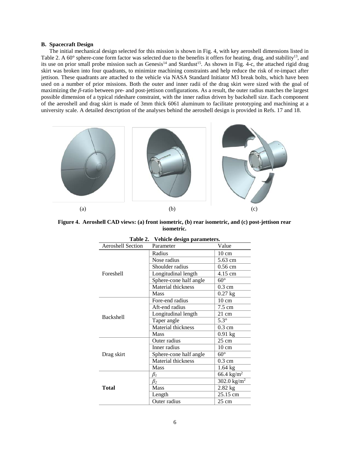#### **B. Spacecraft Design**

The initial mechanical design selected for this mission is shown in Fig. 4, with key aeroshell dimensions listed in Table 2. A 60° sphere-cone form factor was selected due to the benefits it offers for heating, drag, and stability<sup>13</sup>, and its use on prior small probe mission such as Genesis<sup>14</sup> and Stardust<sup>15</sup>. As shown in Fig. 4-c, the attached rigid drag skirt was broken into four quadrants, to minimize machining constraints and help reduce the risk of re-impact after jettison. These quadrants are attached to the vehicle via NASA Standard Initiator M3 break bolts, which have been used on a number of prior missions. Both the outer and inner radii of the drag skirt were sized with the goal of maximizing the *β*-ratio between pre- and post-jettison configurations. As a result, the outer radius matches the largest possible dimension of a typical rideshare constraint, with the inner radius driven by backshell size. Each component of the aeroshell and drag skirt is made of 3mm thick 6061 aluminum to facilitate prototyping and machining at a university scale. A detailed description of the analyses behind the aeroshell design is provided in Refs. 17 and 18.



**Figure 4. Aeroshell CAD views: (a) front isometric, (b) rear isometric, and (c) post-jettison rear isometric.**

| ravit 4.<br>ventue design parameters. |                           |                        |  |  |
|---------------------------------------|---------------------------|------------------------|--|--|
| <b>Aeroshell Section</b>              | Parameter                 | Value                  |  |  |
|                                       | Radius                    | $10 \text{ cm}$        |  |  |
|                                       | Nose radius               | 5.63 cm                |  |  |
|                                       | Shoulder radius           | $0.56$ cm              |  |  |
| Foreshell                             | Longitudinal length       | 4.15 cm                |  |  |
|                                       | Sphere-cone half angle    | $60^{\circ}$           |  |  |
|                                       | Material thickness        | $0.3 \text{ cm}$       |  |  |
|                                       | Mass                      | $0.27$ kg              |  |  |
|                                       | Fore-end radius           | $10 \text{ cm}$        |  |  |
|                                       | Aft-end radius            | 7.5 cm                 |  |  |
| <b>Backshell</b>                      | Longitudinal length       | $21 \text{ cm}$        |  |  |
|                                       | Taper angle               | $5.3^\circ$            |  |  |
|                                       | Material thickness        | $0.3 \text{ cm}$       |  |  |
|                                       | <b>Mass</b>               | $0.91$ kg              |  |  |
|                                       | Outer radius              | $25 \text{ cm}$        |  |  |
|                                       | Inner radius              | $10 \text{ cm}$        |  |  |
| Drag skirt                            | Sphere-cone half angle    | $60^{\circ}$           |  |  |
|                                       | <b>Material thickness</b> | $0.3 \text{ cm}$       |  |  |
|                                       | Mass                      | $1.64$ kg              |  |  |
|                                       | $\beta_I$                 | 66.4 kg/m <sup>2</sup> |  |  |
|                                       | $\beta_2$                 | 302.0 $\text{kg/m}^2$  |  |  |
| Total                                 | Mass                      | $2.82$ kg              |  |  |
|                                       | Length                    | 25.15 cm               |  |  |
|                                       | Outer radius              | $25 \text{ cm}$        |  |  |

| Table 2. | Vehicle design parameters. |  |
|----------|----------------------------|--|
|----------|----------------------------|--|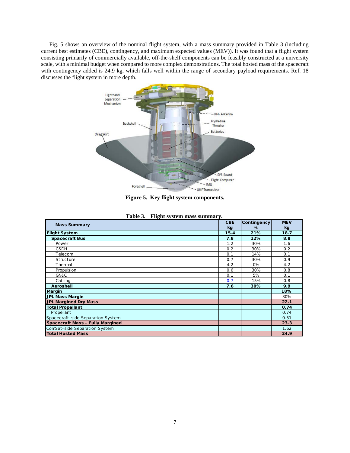Fig. 5 shows an overview of the nominal flight system, with a mass summary provided in Table 3 (including current best estimates (CBE), contingency, and maximum expected values (MEV)). It was found that a flight system consisting primarily of commercially available, off-the-shelf components can be feasibly constructed at a university scale, with a minimal budget when compared to more complex demonstrations. The total hosted mass of the spacecraft with contingency added is 24.9 kg, which falls well within the range of secondary payload requirements. Ref. 18 discusses the flight system in more depth.



**Figure 5. Key flight system components.**

| <b>Mass Summary</b>                     |            | Contingency | <b>MEV</b> |
|-----------------------------------------|------------|-------------|------------|
|                                         |            | $\%$        | kg         |
| <b>Flight System</b>                    | kg<br>15.4 | 21%         | 18.7       |
| <b>Spacecraft Bus</b>                   | 7.8        | 12%         | 8.8        |
| Power                                   | 1.2        | 30%         | 1.6        |
| C&DH                                    | 0.2        | 30%         | 0.2        |
| Telecom                                 | 0.1        | 14%         | 0.1        |
| Structure                               | 0.7        | 30%         | 0.9        |
| Thermal                                 | 4.2        | 0%          | 4.2        |
| Propulsion                              | 0.6        | 30%         | 0.8        |
| GN&C                                    | 0.1        | 5%          | 0.1        |
| Cabling                                 | 0.7        | 15%         | 0.8        |
| Aeroshell                               | 7.6        | 30%         | 9.9        |
| <b>Margin</b>                           |            |             | 18%        |
| <b>JPL Mass Margin</b>                  |            |             | 30%        |
| <b>JPL Margined Dry Mass</b>            |            |             | 22.1       |
| <b>Total Propellant</b>                 |            |             | 0.74       |
| Propellant                              |            |             | 0.74       |
| Spacecraft-side Separation System       |            |             | 0.51       |
| <b>Spacecraft Mass - Fully Margined</b> |            |             | 23.3       |
| ComSat-side Separation System           |            |             | 1.62       |
| <b>Total Hosted Mass</b>                |            |             | 24.9       |

|  | Table 3. Flight system mass summary. |  |  |  |
|--|--------------------------------------|--|--|--|
|--|--------------------------------------|--|--|--|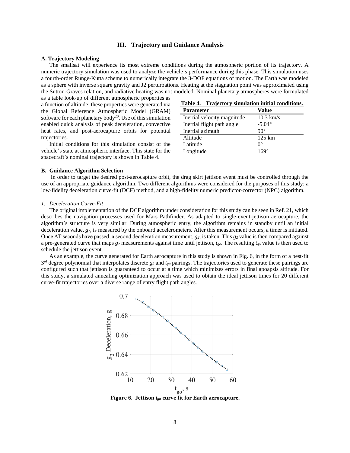#### **III. Trajectory and Guidance Analysis**

#### **A. Trajectory Modeling**

The smallsat will experience its most extreme conditions during the atmospheric portion of its trajectory. A numeric trajectory simulation was used to analyze the vehicle's performance during this phase. This simulation uses a fourth-order Runge-Kutta scheme to numerically integrate the 3-DOF equations of motion. The Earth was modeled as a sphere with inverse square gravity and J2 perturbations. Heating at the stagnation point was approximated using the Sutton-Graves relation, and radiative heating was not modeled. Nominal planetary atmospheres were formulated

as a table look-up of different atmospheric properties as a function of altitude; these properties were generated via the Global Reference Atmospheric Model (GRAM) software for each planetary body<sup>20</sup>. Use of this simulation enabled quick analysis of peak deceleration, convective heat rates, and post-aerocapture orbits for potential trajectories.

Initial conditions for this simulation consist of the vehicle's state at atmospheric interface. This state for the spacecraft's nominal trajectory is shown in Table 4.

| Table 4. | Trajectory simulation initial conditions. |  |  |
|----------|-------------------------------------------|--|--|
|          |                                           |  |  |

| <b>Parameter</b>            | Value            |
|-----------------------------|------------------|
| Inertial velocity magnitude | $10.3$ km/s      |
| Inertial flight path angle  | $-5.04^{\circ}$  |
| Inertial azimuth            | $90^\circ$       |
| Altitude                    | $125 \text{ km}$ |
| Latitude                    | $\theta^{\circ}$ |
| Longitude                   | $169^\circ$      |

#### **B. Guidance Algorithm Selection**

In order to target the desired post-aerocapture orbit, the drag skirt jettison event must be controlled through the use of an appropriate guidance algorithm. Two different algorithms were considered for the purposes of this study: a low-fidelity deceleration curve-fit (DCF) method, and a high-fidelity numeric predictor-corrector (NPC) algorithm.

#### *1. Deceleration Curve-Fit*

The original implementation of the DCF algorithm under consideration for this study can be seen in Ref. 21, which describes the navigation processes used for Mars Pathfinder. As adapted to single-event-jettison aerocapture, the algorithm's structure is very similar. During atmospheric entry, the algorithm remains in standby until an initial deceleration value, *g1*, is measured by the onboard accelerometers. After this measurement occurs, a timer is initiated. Once ΔT seconds have passed, a second deceleration measurement, *g2*, is taken. This *g2* value is then compared against a pre-generated curve that maps *g2* measurements against time until jettison, *tgo*. The resulting *tgo* value is then used to schedule the jettison event.

As an example, the curve generated for Earth aerocapture in this study is shown in Fig. 6, in the form of a best-fit 3rd degree polynomial that interpolates discrete *g2* and *tgo* pairings. The trajectories used to generate these pairings are configured such that jettison is guaranteed to occur at a time which minimizes errors in final apoapsis altitude. For this study, a simulated annealing optimization approach was used to obtain the ideal jettison times for 20 different curve-fit trajectories over a diverse range of entry flight path angles.

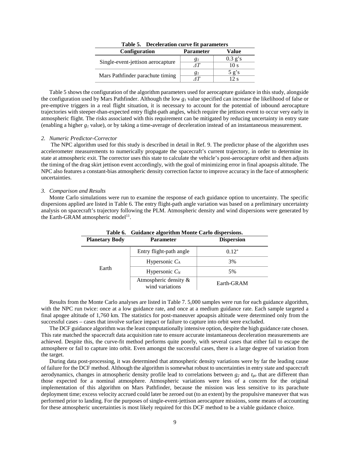| Table 5. Deceleration curve lit parameters |                  |                 |  |
|--------------------------------------------|------------------|-----------------|--|
| <b>Configuration</b>                       | <b>Parameter</b> | Value           |  |
| Single-event-jettison aerocapture          |                  | $0.3$ g's       |  |
|                                            |                  | 10 s            |  |
|                                            | 81               | $5 \text{ g's}$ |  |
| Mars Pathfinder parachute timing           |                  | 12 s            |  |

**Table 5. Deceleration curve fit parameters**

Table 5 shows the configuration of the algorithm parameters used for aerocapture guidance in this study, alongside the configuration used by Mars Pathfinder. Although the low *g1* value specified can increase the likelihood of false or pre-emptive triggers in a real flight situation, it is necessary to account for the potential of inbound aerocapture trajectories with steeper-than-expected entry flight-path angles, which require the jettison event to occur very early in atmospheric flight. The risks associated with this requirement can be mitigated by reducing uncertainty in entry state (enabling a higher  $g_l$  value), or by taking a time-average of deceleration instead of an instantaneous measurement.

#### *2. Numeric Predictor-Corrector*

The NPC algorithm used for this study is described in detail in Ref. 9. The predictor phase of the algorithm uses accelerometer measurements to numerically propagate the spacecraft's current trajectory, in order to determine its state at atmospheric exit. The corrector uses this state to calculate the vehicle's post-aerocapture orbit and then adjusts the timing of the drag skirt jettison event accordingly, with the goal of minimizing error in final apoapsis altitude. The NPC also features a constant-bias atmospheric density correction factor to improve accuracy in the face of atmospheric uncertainties.

#### *3. Comparison and Results*

Monte Carlo simulations were run to examine the response of each guidance option to uncertainty. The specific dispersions applied are listed in Table 6. The entry flight-path angle variation was based on a preliminary uncertainty analysis on spacecraft's trajectory following the PLM. Atmospheric density and wind dispersions were generated by the Earth-GRAM atmospheric model<sup>11</sup>.

| Table 6. Guidance algorithm Monte Carlo dispersions. |                                             |                   |  |
|------------------------------------------------------|---------------------------------------------|-------------------|--|
| <b>Planetary Body</b>                                | <b>Parameter</b>                            | <b>Dispersion</b> |  |
|                                                      | Entry flight-path angle                     | $0.12^{\circ}$    |  |
|                                                      | Hypersonic $C_A$                            | 3%                |  |
| Earth                                                | Hypersonic $C_N$                            | 5%                |  |
|                                                      | Atmospheric density $\&$<br>wind variations | Earth-GRAM        |  |

**Table 6. Guidance algorithm Monte Carlo dispersions.**

Results from the Monte Carlo analyses are listed in Table 7. 5,000 samples were run for each guidance algorithm, with the NPC run twice: once at a low guidance rate, and once at a medium guidance rate. Each sample targeted a final apogee altitude of 1,760 km. The statistics for post-maneuver apoapsis altitude were determined only from the successful cases – cases that involve surface impact or failure to capture into orbit were excluded.

The DCF guidance algorithm was the least computationally intensive option, despite the high guidance rate chosen. This rate matched the spacecraft data acquisition rate to ensure accurate instantaneous deceleration measurements are achieved. Despite this, the curve-fit method performs quite poorly, with several cases that either fail to escape the atmosphere or fail to capture into orbit. Even amongst the successful cases, there is a large degree of variation from the target.

During data post-processing, it was determined that atmospheric density variations were by far the leading cause of failure for the DCF method. Although the algorithm is somewhat robust to uncertainties in entry state and spacecraft aerodynamics, changes in atmospheric density profile lead to correlations between *g2* and *tgo* that are different than those expected for a nominal atmosphere. Atmospheric variations were less of a concern for the original implementation of this algorithm on Mars Pathfinder, because the mission was less sensitive to its parachute deployment time; excess velocity accrued could later be zeroed out (to an extent) by the propulsive maneuver that was performed prior to landing. For the purposes of single-event-jettison aerocapture missions, some means of accounting for these atmospheric uncertainties is most likely required for this DCF method to be a viable guidance choice.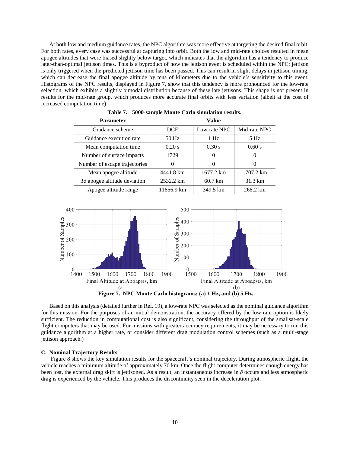At both low and medium guidance rates, the NPC algorithm was more effective at targeting the desired final orbit. For both rates, every case was successful at capturing into orbit. Both the low and mid-rate choices resulted in mean apogee altitudes that were biased slightly below target, which indicates that the algorithm has a tendency to produce later-than-optimal jettison times. This is a byproduct of how the jettison event is scheduled within the NPC: jettison is only triggered when the predicted jettison time has been passed. This can result in slight delays in jettison timing, which can decrease the final apogee altitude by tens of kilometers due to the vehicle's sensitivity to this event. Histograms of the NPC results, displayed in Figure 7, show that this tendency is more pronounced for the low-rate selection, which exhibits a slightly bimodal distribution because of these late jettisons. This shape is not present in results for the mid-rate group, which produces more accurate final orbits with less variation (albeit at the cost of increased computation time).

| 1 avie 7.<br>sooo-sample mome carlo simulation results. |            |                   |              |  |
|---------------------------------------------------------|------------|-------------------|--------------|--|
| <b>Parameter</b>                                        | Value      |                   |              |  |
| Guidance scheme                                         | <b>DCF</b> | Low-rate NPC      | Mid-rate NPC |  |
| Guidance execution rate                                 | 50 Hz      | $1$ Hz            | 5 Hz         |  |
| Mean computation time                                   | 0.20 s     | 0.30 s            | 0.60 s       |  |
| Number of surface impacts                               | 1729       | $\theta$          |              |  |
| Number of escape trajectories                           |            | $\theta$          |              |  |
| Mean apogee altitude                                    | 4441.8 km  | 1677.2 km         | 1707.2 km    |  |
| 30 apogee altitude deviation                            | 2532.2 km  | $60.7 \text{ km}$ | 31.3 km      |  |
| Apogee altitude range                                   | 11656.9 km | 349.5 km          | 268.2 km     |  |

**Table 7. 5000-sample Monte Carlo simulation results.**





Based on this analysis (detailed further in Ref. 19), a low-rate NPC was selected as the nominal guidance algorithm for this mission. For the purposes of an initial demonstration, the accuracy offered by the low-rate option is likely sufficient. The reduction in computational cost is also significant, considering the throughput of the smallsat-scale flight computers that may be used. For missions with greater accuracy requirements, it may be necessary to run this guidance algorithm at a higher rate, or consider different drag modulation control schemes (such as a multi-stage jettison approach.)

### **C. Nominal Trajectory Results**

Figure 8 shows the key simulation results for the spacecraft's nominal trajectory. During atmospheric flight, the vehicle reaches a minimum altitude of approximately 70 km. Once the flight computer determines enough energy has been lost, the external drag skirt is jettisoned. As a result, an instantaneous increase in *β* occurs and less atmospheric drag is experienced by the vehicle. This produces the discontinuity seen in the deceleration plot.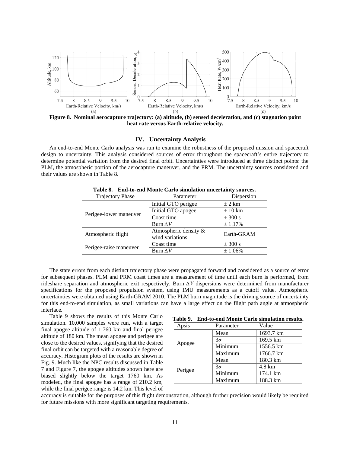

**Figure 8. Nominal aerocapture trajectory: (a) altitude, (b) sensed deceleration, and (c) stagnation point heat rate versus Earth-relative velocity.**

#### **IV. Uncertainty Analysis**

An end-to-end Monte Carlo analysis was run to examine the robustness of the proposed mission and spacecraft design to uncertainty. This analysis considered sources of error throughout the spacecraft's entire trajectory to determine potential variation from the desired final orbit. Uncertainties were introduced at three distinct points: the PLM, the atmospheric portion of the aerocapture maneuver, and the PRM. The uncertainty sources considered and their values are shown in Table 8.

| Table 6. End-to-end monte Carlo simulation uncertainty sources. |                       |             |  |  |  |
|-----------------------------------------------------------------|-----------------------|-------------|--|--|--|
| <b>Trajectory Phase</b>                                         | Parameter             | Dispersion  |  |  |  |
|                                                                 | Initial GTO perigee   | $\pm$ 2 km  |  |  |  |
|                                                                 | Initial GTO apogee    | $\pm 10$ km |  |  |  |
| Perigee-lower maneuver                                          | Coast time            | $\pm$ 300 s |  |  |  |
|                                                                 | Burn $\Delta V$       | ± 1.17%     |  |  |  |
| Atmospheric flight                                              | Atmospheric density & | Earth-GRAM  |  |  |  |
|                                                                 | wind variations       |             |  |  |  |
| Perigee-raise maneuver                                          | Coast time            | $\pm$ 300 s |  |  |  |
|                                                                 | Burn $\Delta V$       | ± 1.06%     |  |  |  |

**Table 8. End-to-end Monte Carlo simulation uncertainty sources.**

The state errors from each distinct trajectory phase were propagated forward and considered as a source of error for subsequent phases. PLM and PRM coast times are a measurement of time until each burn is performed, from rideshare separation and atmospheric exit respectively. Burn *∆V* dispersions were determined from manufacturer specifications for the proposed propulsion system, using IMU measurements as a cutoff value. Atmospheric uncertainties were obtained using Earth-GRAM 2010. The PLM burn magnitude is the driving source of uncertainty for this end-to-end simulation, as small variations can have a large effect on the flight path angle at atmospheric interface.

Table 9 shows the results of this Monte Carlo simulation. 10,000 samples were run, with a target final apogee altitude of 1,760 km and final perigee altitude of 180 km. The mean apogee and perigee are close to the desired values, signifying that the desired final orbit can be targeted with a reasonable degree of accuracy. Histogram plots of the results are shown in Fig. 9. Much like the NPC results discussed in Table 7 and Figure 7, the apogee altitudes shown here are biased slightly below the target 1760 km. As modeled, the final apogee has a range of 210.2 km, while the final perigee range is 14.2 km. This level of

| Table 9. End-to-end Monte Carlo simulation results. |  |  |  |
|-----------------------------------------------------|--|--|--|
|-----------------------------------------------------|--|--|--|

| Apsis   | Parameter | Value            |
|---------|-----------|------------------|
| Apogee  | Mean      | 1693.7 km        |
|         | $3\sigma$ | 169.5 km         |
|         | Minimum   | 1556.5 km        |
|         | Maximum   | 1766.7 km        |
| Perigee | Mean      | 180.3 km         |
|         | $3\sigma$ | $4.8 \text{ km}$ |
|         | Minimum   | 174.1 km         |
|         | Maximum   | 188.3 km         |

accuracy is suitable for the purposes of this flight demonstration, although further precision would likely be required for future missions with more significant targeting requirements.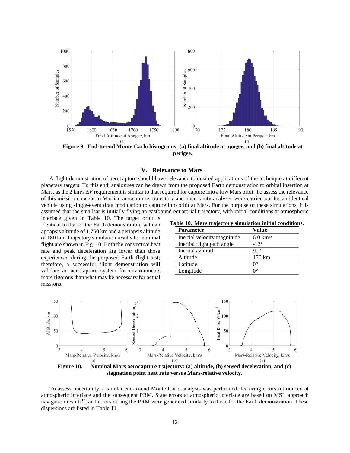

**Figure 9. End-to-end Monte Carlo histograms: (a) final altitude at apogee, and (b) final altitude at perigee.**

#### **V. Relevance to Mars**

A flight demonstration of aerocapture should have relevance to desired applications of the technique at different planetary targets. To this end, analogues can be drawn from the proposed Earth demonstration to orbital insertion at Mars, as the 2 km/s  $\Delta V$  requirement is similar to that required for capture into a low Mars orbit. To assess the relevance of this mission concept to Martian aerocapture, trajectory and uncertainty analyses were carried out for an identical vehicle using single-event drag modulation to capture into orbit at Mars. For the purpose of these simulations, it is assumed that the smallsat is initially flying an eastbound equatorial trajectory, with initial conditions at atmospheric

interface given in Table 10. The target orbit is identical to that of the Earth demonstration, with an apoapsis altitude of 1,760 km and a periapsis altitude of 180 km. Trajectory simulation results for nominal flight are shown in Fig. 10. Both the convective heat rate and peak deceleration are lower than those experienced during the proposed Earth flight test; therefore, a successful flight demonstration will validate an aerocapture system for environments more rigorous than what may be necessary for actual missions.

**Table 10. Mars trajectory simulation initial conditions.**

| Value              |
|--------------------|
| $6.0 \text{ km/s}$ |
| $-12^{\circ}$      |
| $90^\circ$         |
| 150 km             |
| ∩°                 |
| ∩°                 |
|                    |



To assess uncertainty, a similar end-to-end Monte Carlo analysis was performed, featuring errors introduced at atmospheric interface and the subsequent PRM. State errors at atmospheric interface are based on MSL approach navigation results<sup>12</sup>, and errors during the PRM were generated similarly to those for the Earth demonstration. These dispersions are listed in Table 11.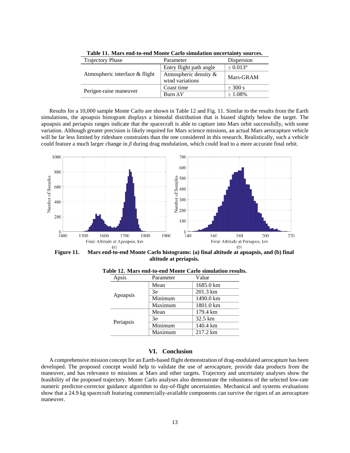| <b>Trajectory Phase</b>        | Parameter                                | Dispersion    |
|--------------------------------|------------------------------------------|---------------|
| Atmospheric interface & flight | Entry flight path angle                  | $\pm 0.013$ ° |
|                                | Atmospheric density &<br>wind variations | Mars-GRAM     |
| Perigee-raise maneuver         | Coast time                               | $\pm$ 300 s   |
|                                | Burn $\Lambda V$                         | $\pm 1.08\%$  |

**Table 11. Mars end-to-end Monte Carlo simulation uncertainty sources.**

Results for a 10,000 sample Monte Carlo are shown in Table 12 and Fig. 11. Similar to the results from the Earth simulations, the apoapsis histogram displays a bimodal distribution that is biased slightly below the target. The apoapsis and periapsis ranges indicate that the spacecraft is able to capture into Mars orbit successfully, with some variation. Although greater precision is likely required for Mars science missions, an actual Mars aerocapture vehicle will be far less limited by rideshare constraints than the one considered in this research. Realistically, such a vehicle could feature a much larger change in *β* during drag modulation, which could lead to a more accurate final orbit.



**Figure 11. Mars end-to-end Monte Carlo histograms: (a) final altitude at apoapsis, and (b) final altitude at periapsis.**

| Apsis     | Parameter | Value     |
|-----------|-----------|-----------|
| Apoapsis  | Mean      | 1685.0 km |
|           | $3\sigma$ | 201.3 km  |
|           | Minimum   | 1490.0 km |
|           | Maximum   | 1801.0 km |
| Periapsis | Mean      | 179.4 km  |
|           | $3\sigma$ | 32.5 km   |
|           | Minimum   | 140.4 km  |
|           | Maximum   | 217.2 km  |

**Table 12. Mars end-to-end Monte Carlo simulation results.**

#### **VI. Conclusion**

A comprehensive mission concept for an Earth-based flight demonstration of drag-modulated aerocapture has been developed. The proposed concept would help to validate the use of aerocapture, provide data products from the maneuver, and has relevance to missions at Mars and other targets. Trajectory and uncertainty analyses show the feasibility of the proposed trajectory. Monte Carlo analyses also demonstrate the robustness of the selected low-rate numeric predictor-corrector guidance algorithm to day-of-flight uncertainties. Mechanical and systems evaluations show that a 24.9 kg spacecraft featuring commercially-available components can survive the rigors of an aerocapture maneuver.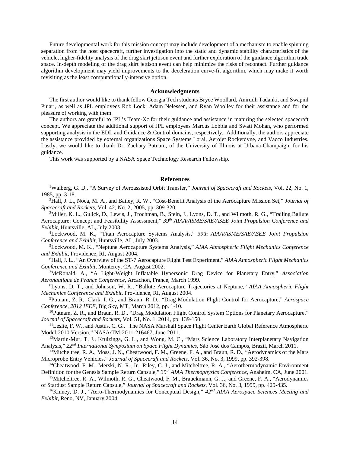Future developmental work for this mission concept may include development of a mechanism to enable spinning separation from the host spacecraft, further investigation into the static and dynamic stability characteristics of the vehicle, higher-fidelity analysis of the drag skirt jettison event and further exploration of the guidance algorithm trade space. In-depth modeling of the drag skirt jettison event can help minimize the risks of recontact. Further guidance algorithm development may yield improvements to the deceleration curve-fit algorithm, which may make it worth revisiting as the least computationally-intensive option.

#### **Acknowledgments**

The first author would like to thank fellow Georgia Tech students Bryce Woollard, Anirudh Tadanki, and Swapnil Pujari, as well as JPL employees Rob Lock, Adam Nelessen, and Ryan Woolley for their assistance and for the pleasure of working with them.

The authors are grateful to JPL's Team-Xc for their guidance and assistance in maturing the selected spacecraft concept. We appreciate the additional support of JPL employees Marcus Lobbia and Swati Mohan, who performed supporting analysis in the EDL and Guidance & Control domains, respectively. Additionally, the authors appreciate the assistance provided by external organizations Space Systems Loral, Aerojet Rocketdyne, and Vacco Industries. Lastly, we would like to thank Dr. Zachary Putnam, of the University of Illinois at Urbana-Champaign, for his guidance.

This work was supported by a NASA Space Technology Research Fellowship.

#### **References**

<sup>1</sup>Walberg, G. D., "A Survey of Aeroassisted Orbit Transfer," *Journal of Spacecraft and Rockets*, Vol. 22, No. 1, 1985, pp. 3-18.

2 Hall, J. L., Noca, M. A., and Bailey, R. W., "Cost-Benefit Analysis of the Aerocapture Mission Set," *Journal of Spacecraft and Rockets*, Vol. 42, No. 2, 2005, pp. 309-320.

<sup>3</sup>Miller, K. L., Gulick, D., Lewis, J., Trochman, B., Stein, J., Lyons, D. T., and Wilmoth, R. G., "Trailing Ballute Aerocapture: Concept and Feasibility Assessment," *39th AIAA/ASME/SAE/ASEE Joint Propulsion Conference and Exhibit*, Huntsville, AL, July 2003.

4 Lockwood, M. K., "Titan Aerocapture Systems Analysis," *39th AIAA/ASME/SAE/ASEE Joint Propulsion Conference and Exhibit,* Huntsville, AL, July 2003.

5 Lockwood, M. K., "Neptune Aerocapture Systems Analysis," *AIAA Atmospheric Flight Mechanics Conference and Exhibit*, Providence, RI, August 2004.

6 Hall, J. L., "An Overview of the ST-7 Aerocapture Flight Test Experiment," *AIAA Atmospheric Flight Mechanics Conference and Exhibit*, Monterey, CA, August 2002.

7 McRonald, A., "A Light-Weight Inflatable Hypersonic Drag Device for Planetary Entry," *Association Aeronautique de France Conference*, Arcachon, France, March 1999.

8 Lyons, D. T., and Johnson, W. R., "Ballute Aerocapture Trajectories at Neptune," *AIAA Atmospheric Flight Mechanics Conference and Exhibit*, Providence, RI, August 2004.

9 Putnam, Z. R., Clark, I. G., and Braun, R. D., "Drag Modulation Flight Control for Aerocapture," *Aerospace Conference, 2012 IEEE*, Big Sky, MT, March 2012, pp. 1-10.

<sup>10</sup>Putnam, Z. R., and Braun, R. D., "Drag Modulation Flight Control System Options for Planetary Aerocapture," *Journal of Spacecraft and Rockets*, Vol. 51, No. 1, 2014, pp. 139-150.

<sup>11</sup>Leslie, F. W., and Justus, C. G., "The NASA Marshall Space Flight Center Earth Global Reference Atmospheric Model-2010 Version," NASA/TM-2011-216467, June 2011.

<sup>12</sup>Martin-Mur, T. J., Kruizinga, G. L., and Wong, M. C., "Mars Science Laboratory Interplanetary Navigation Analysis," *22nd International Symposium on Space Flight Dynamics*, São José dos Campos, Brazil, March 2011.

<sup>13</sup>Mitcheltree, R. A., Moss, J. N., Cheatwood, F. M., Greene, F. A., and Braun, R. D., "Aerodynamics of the Mars Microprobe Entry Vehicles," *Journal of Spacecraft and Rockets*, Vol. 36, No. 3, 1999, pp. 392-398.

<sup>14</sup>Cheatwood, F. M., Merski, N. R., Jr., Riley, C. J., and Mitcheltree, R. A., "Aerothermodynamic Environment Definition for the Genesis Sample Return Capsule," *35th AIAA Thermophysics Conference*, Anaheim, CA, June 2001.

15Mitcheltree, R. A., Wilmoth, R. G., Cheatwood, F. M., Brauckmann, G. J., and Greene, F. A., "Aerodynamics of Stardust Sample Return Capsule," *Journal of Spacecraft and Rockets*, Vol. 36, No. 3, 1999, pp. 429-435.

16Kinney, D. J., "Aero-Thermodynamics for Conceptual Design," *42nd AIAA Aerospace Sciences Meeting and Exhibit*, Reno, NV, January 2004.